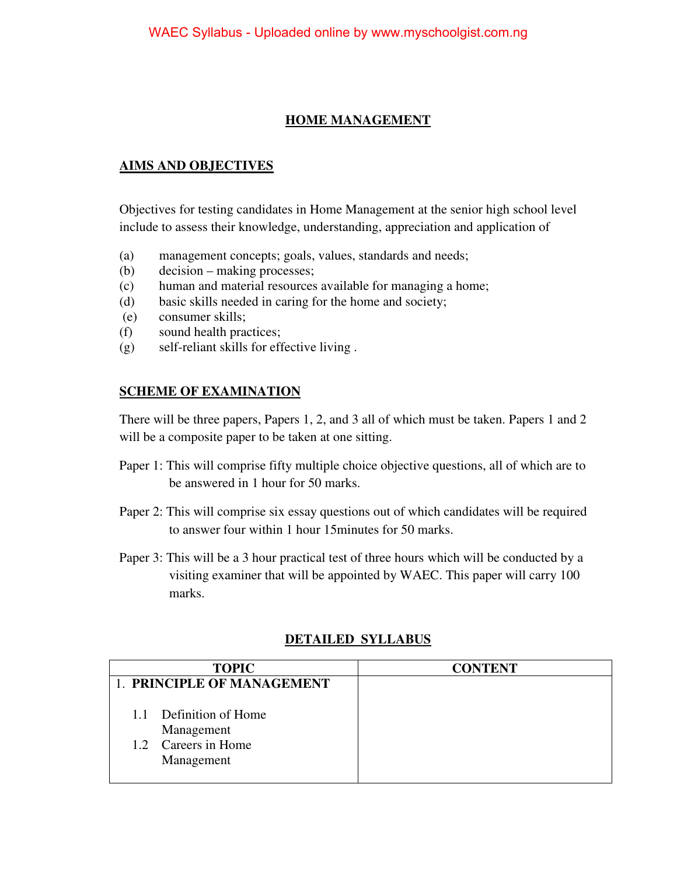### **HOME MANAGEMENT**

#### **AIMS AND OBJECTIVES**

Objectives for testing candidates in Home Management at the senior high school level include to assess their knowledge, understanding, appreciation and application of

- (a) management concepts; goals, values, standards and needs;
- (b) decision making processes;
- (c) human and material resources available for managing a home;
- (d) basic skills needed in caring for the home and society;
- (e) consumer skills;
- (f) sound health practices;
- (g) self-reliant skills for effective living .

#### **SCHEME OF EXAMINATION**

There will be three papers, Papers 1, 2, and 3 all of which must be taken. Papers 1 and 2 will be a composite paper to be taken at one sitting.

- Paper 1: This will comprise fifty multiple choice objective questions, all of which are to be answered in 1 hour for 50 marks.
- Paper 2: This will comprise six essay questions out of which candidates will be required to answer four within 1 hour 15minutes for 50 marks.
- Paper 3: This will be a 3 hour practical test of three hours which will be conducted by a visiting examiner that will be appointed by WAEC. This paper will carry 100 marks.

| <b>TOPIC</b>               | <b>CONTENT</b> |
|----------------------------|----------------|
| 1. PRINCIPLE OF MANAGEMENT |                |
|                            |                |
| 1.1 Definition of Home     |                |
| Management                 |                |
| 1.2 Careers in Home        |                |
| Management                 |                |
|                            |                |

### **DETAILED SYLLABUS**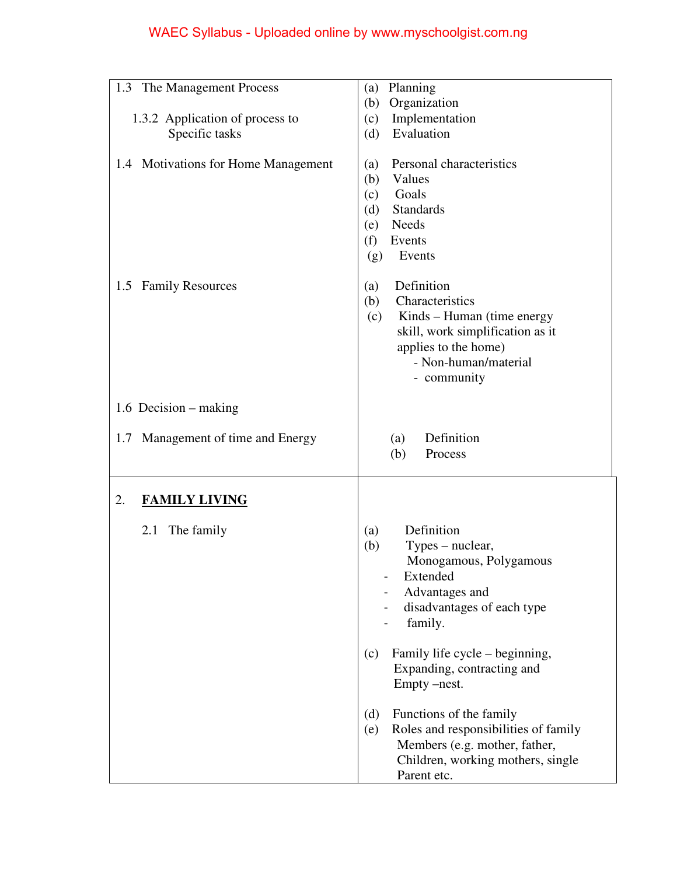# WAEC Syllabus - Uploaded online by www.myschoolgist.com.ng

| The Management Process<br>1.3                                         | Planning<br>(a)                                                                                                                                                           |
|-----------------------------------------------------------------------|---------------------------------------------------------------------------------------------------------------------------------------------------------------------------|
|                                                                       | Organization<br>(b)                                                                                                                                                       |
| 1.3.2 Application of process to                                       | Implementation<br>(c)                                                                                                                                                     |
| Specific tasks                                                        | Evaluation<br>(d)                                                                                                                                                         |
| 1.4 Motivations for Home Management<br><b>Family Resources</b><br>1.5 | Personal characteristics<br>(a)<br>(b)<br>Values<br>Goals<br>(c)<br><b>Standards</b><br>(d)<br><b>Needs</b><br>(e)<br>(f)<br>Events<br>Events<br>(g)<br>Definition<br>(a) |
|                                                                       | (b)<br>Characteristics<br>Kinds – Human (time energy<br>(c)<br>skill, work simplification as it<br>applies to the home)<br>- Non-human/material<br>- community            |
| 1.6 Decision – making                                                 |                                                                                                                                                                           |
| Management of time and Energy<br>1.7                                  | Definition<br>(a)<br>(b)<br>Process                                                                                                                                       |
| 2.<br><b>FAMILY LIVING</b>                                            |                                                                                                                                                                           |
| 2.1<br>The family                                                     | Definition<br>(a)<br>(b)<br>Types – nuclear,<br>Monogamous, Polygamous<br>Extended<br>Advantages and<br>disadvantages of each type<br>family.                             |
|                                                                       | Family life cycle – beginning,<br>(c)<br>Expanding, contracting and<br>Empty –nest.                                                                                       |
|                                                                       | Functions of the family<br>(d)<br>Roles and responsibilities of family<br>(e)<br>Members (e.g. mother, father,<br>Children, working mothers, single<br>Parent etc.        |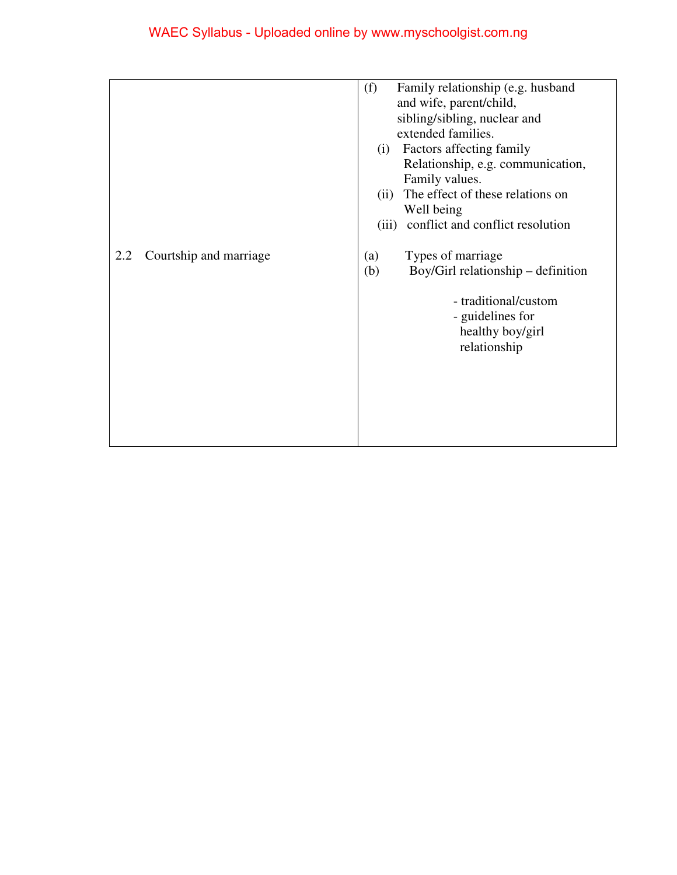|     |                        | Family relationship (e.g. husband<br>(f)<br>and wife, parent/child,                                                                                   |
|-----|------------------------|-------------------------------------------------------------------------------------------------------------------------------------------------------|
|     |                        | sibling/sibling, nuclear and                                                                                                                          |
|     |                        | extended families.                                                                                                                                    |
|     |                        | Factors affecting family<br>(i)                                                                                                                       |
|     |                        | Relationship, e.g. communication,                                                                                                                     |
|     |                        | Family values.                                                                                                                                        |
|     |                        | The effect of these relations on<br>(ii)                                                                                                              |
|     |                        | Well being                                                                                                                                            |
|     |                        | conflict and conflict resolution<br>(iii)                                                                                                             |
| 2.2 | Courtship and marriage | Types of marriage<br>(a)<br>Boy/Girl relationship – definition<br>(b)<br>- traditional/custom<br>- guidelines for<br>healthy boy/girl<br>relationship |
|     |                        |                                                                                                                                                       |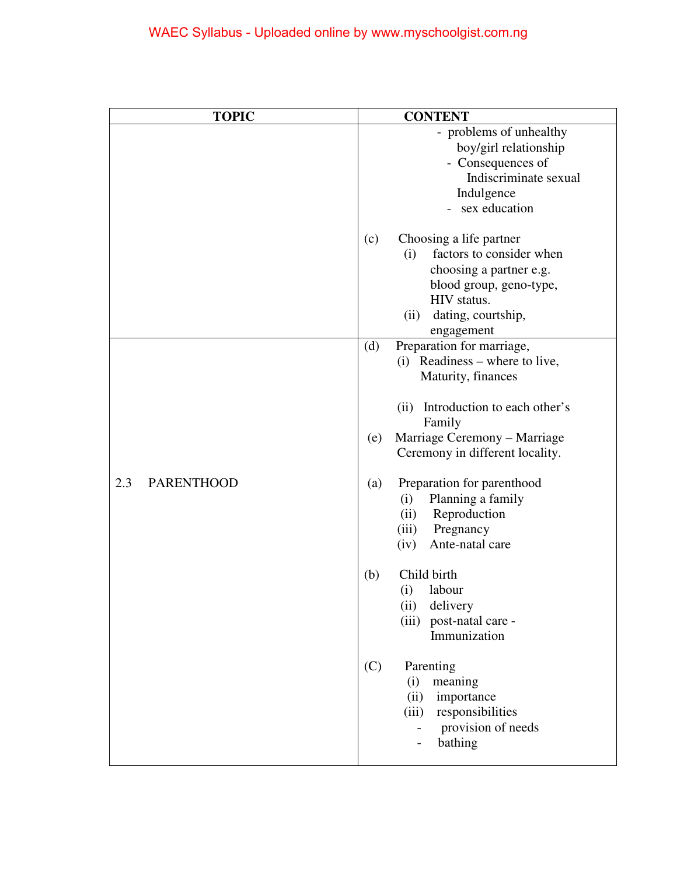| <b>TOPIC</b>             | <b>CONTENT</b>                       |
|--------------------------|--------------------------------------|
|                          | - problems of unhealthy              |
|                          | boy/girl relationship                |
|                          | - Consequences of                    |
|                          | Indiscriminate sexual                |
|                          | Indulgence                           |
|                          | - sex education                      |
|                          | Choosing a life partner<br>(c)       |
|                          | factors to consider when<br>(i)      |
|                          | choosing a partner e.g.              |
|                          | blood group, geno-type,              |
|                          | HIV status.                          |
|                          | dating, courtship,<br>(ii)           |
|                          | engagement                           |
|                          | Preparation for marriage,<br>(d)     |
|                          | (i) Readiness – where to live,       |
|                          | Maturity, finances                   |
|                          | Introduction to each other's<br>(ii) |
|                          | Family                               |
|                          | Marriage Ceremony - Marriage<br>(e)  |
|                          | Ceremony in different locality.      |
| 2.3<br><b>PARENTHOOD</b> | Preparation for parenthood<br>(a)    |
|                          | Planning a family<br>(i)             |
|                          | Reproduction<br>(ii)                 |
|                          | Pregnancy<br>(iii)                   |
|                          | Ante-natal care<br>(iv)              |
|                          | Child birth<br>(b)                   |
|                          | labour<br>(i)                        |
|                          | (ii)<br>delivery                     |
|                          | (iii) post-natal care -              |
|                          | Immunization                         |
|                          | (C)<br>Parenting                     |
|                          | meaning<br>(i)                       |
|                          | importance<br>(ii)                   |
|                          | responsibilities<br>(iii)            |
|                          | provision of needs                   |
|                          | bathing<br>$\overline{\phantom{0}}$  |
|                          |                                      |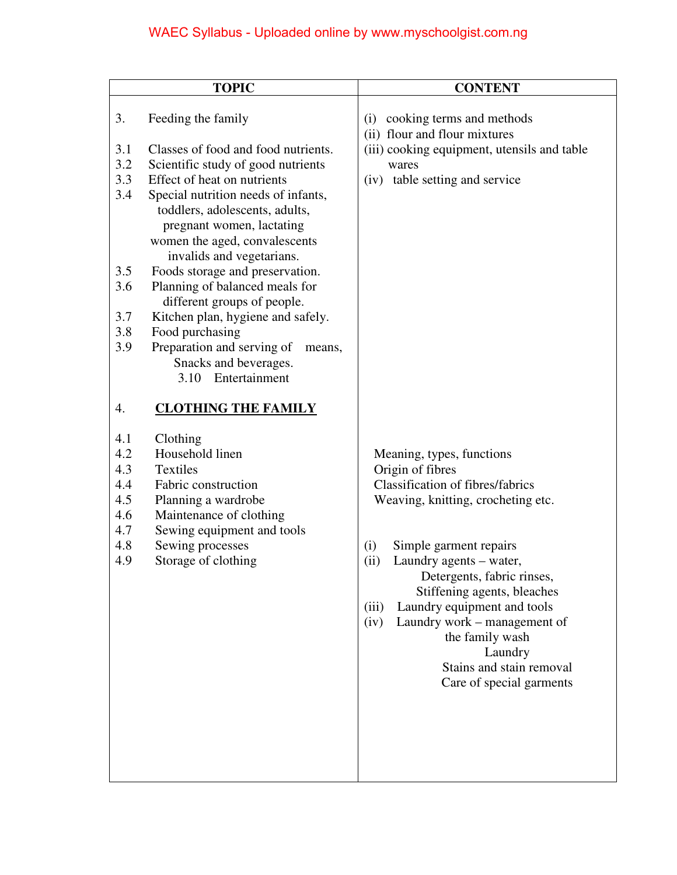# WAEC Syllabus - Uploaded online by www.myschoolgist.com.ng

|            | <b>TOPIC</b>                                         | <b>CONTENT</b>                                                    |
|------------|------------------------------------------------------|-------------------------------------------------------------------|
| 3.         | Feeding the family                                   | cooking terms and methods<br>(i)<br>(ii) flour and flour mixtures |
| 3.1        | Classes of food and food nutrients.                  | (iii) cooking equipment, utensils and table                       |
| 3.2        | Scientific study of good nutrients                   | wares                                                             |
| 3.3        | Effect of heat on nutrients                          | table setting and service<br>(iv)                                 |
| 3.4        | Special nutrition needs of infants,                  |                                                                   |
|            | toddlers, adolescents, adults,                       |                                                                   |
|            | pregnant women, lactating                            |                                                                   |
|            | women the aged, convalescents                        |                                                                   |
|            | invalids and vegetarians.                            |                                                                   |
| 3.5        | Foods storage and preservation.                      |                                                                   |
| 3.6        | Planning of balanced meals for                       |                                                                   |
|            | different groups of people.                          |                                                                   |
| 3.7<br>3.8 | Kitchen plan, hygiene and safely.<br>Food purchasing |                                                                   |
| 3.9        | Preparation and serving of<br>means,                 |                                                                   |
|            | Snacks and beverages.                                |                                                                   |
|            | Entertainment<br>3.10                                |                                                                   |
|            |                                                      |                                                                   |
| 4.         | <b>CLOTHING THE FAMILY</b>                           |                                                                   |
|            |                                                      |                                                                   |
| 4.1<br>4.2 | Clothing<br>Household linen                          |                                                                   |
| 4.3        | <b>Textiles</b>                                      | Meaning, types, functions<br>Origin of fibres                     |
| 4.4        | Fabric construction                                  | <b>Classification of fibres/fabrics</b>                           |
| 4.5        | Planning a wardrobe                                  | Weaving, knitting, crocheting etc.                                |
| 4.6        | Maintenance of clothing                              |                                                                   |
| 4.7        | Sewing equipment and tools                           |                                                                   |
| 4.8        | Sewing processes                                     | (i)<br>Simple garment repairs                                     |
| 4.9        | Storage of clothing                                  | (ii)<br>Laundry agents - water,                                   |
|            |                                                      | Detergents, fabric rinses,                                        |
|            |                                                      | Stiffening agents, bleaches                                       |
|            |                                                      | Laundry equipment and tools<br>(iii)                              |
|            |                                                      | Laundry work – management of<br>(iv)                              |
|            |                                                      | the family wash<br>Laundry                                        |
|            |                                                      | Stains and stain removal                                          |
|            |                                                      | Care of special garments                                          |
|            |                                                      |                                                                   |
|            |                                                      |                                                                   |
|            |                                                      |                                                                   |
|            |                                                      |                                                                   |
|            |                                                      |                                                                   |
|            |                                                      |                                                                   |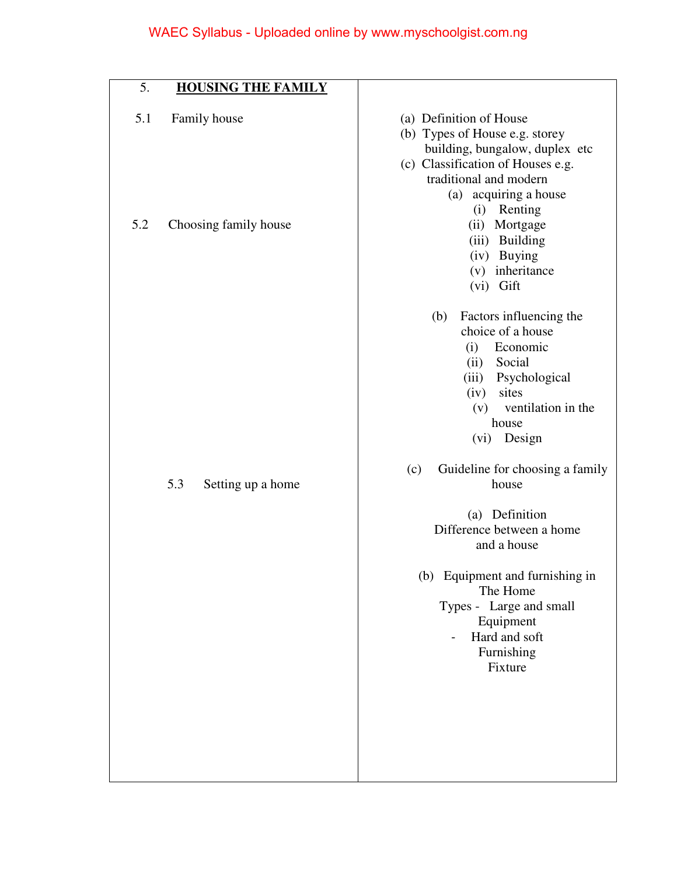| 5.         | <b>HOUSING THE FAMILY</b>             |                                                                                                                                                                                                                                                                                                                                                                                                                                         |
|------------|---------------------------------------|-----------------------------------------------------------------------------------------------------------------------------------------------------------------------------------------------------------------------------------------------------------------------------------------------------------------------------------------------------------------------------------------------------------------------------------------|
| 5.1<br>5.2 | Family house<br>Choosing family house | (a) Definition of House<br>(b) Types of House e.g. storey<br>building, bungalow, duplex etc<br>(c) Classification of Houses e.g.<br>traditional and modern<br>(a) acquiring a house<br>(i) Renting<br>(ii) Mortgage<br>(iii) Building<br>(iv) Buying<br>(v) inheritance<br>(vi) Gift                                                                                                                                                    |
|            | 5.3<br>Setting up a home              | Factors influencing the<br>(b)<br>choice of a house<br>Economic<br>(i)<br>(ii) Social<br>Psychological<br>(iii)<br>(iv)<br>sites<br>ventilation in the<br>(v)<br>house<br>(vi) Design<br>Guideline for choosing a family<br>(c)<br>house<br>(a) Definition<br>Difference between a home<br>and a house<br>(b) Equipment and furnishing in<br>The Home<br>Types - Large and small<br>Equipment<br>Hard and soft<br>Furnishing<br>Fixture |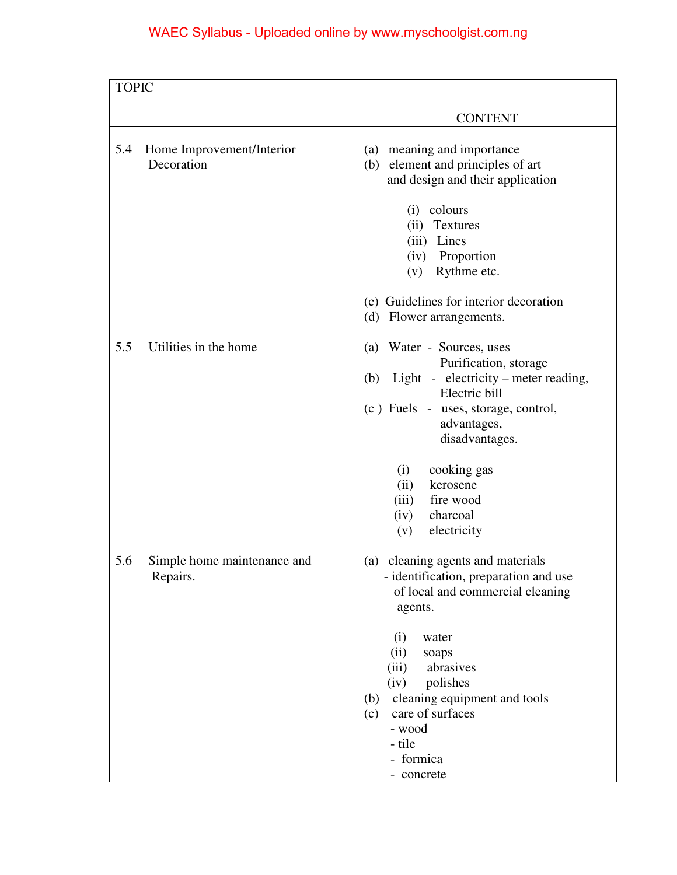# WAEC Syllabus - Uploaded online by www.myschoolgist.com.ng

| <b>TOPIC</b> |                                         |                                                                                                                                                                                               |
|--------------|-----------------------------------------|-----------------------------------------------------------------------------------------------------------------------------------------------------------------------------------------------|
|              |                                         |                                                                                                                                                                                               |
|              |                                         | <b>CONTENT</b>                                                                                                                                                                                |
| 5.4          | Home Improvement/Interior<br>Decoration | (a) meaning and importance<br>element and principles of art<br>(b)<br>and design and their application                                                                                        |
|              |                                         | colours<br>(i)<br>Textures<br>(ii)<br>(iii) Lines<br>(iv) Proportion<br>Rythme etc.<br>(v)                                                                                                    |
|              |                                         | (c) Guidelines for interior decoration<br>Flower arrangements.<br>(d)                                                                                                                         |
| 5.5          | Utilities in the home                   | Water - Sources, uses<br>(a)<br>Purification, storage<br>Light - electricity – meter reading,<br>(b)<br>Electric bill<br>(c) Fuels - uses, storage, control,<br>advantages,<br>disadvantages. |
|              |                                         | cooking gas<br>(i)<br>kerosene<br>(ii)<br>fire wood<br>(iii)<br>charcoal<br>(iv)<br>electricity<br>(v)                                                                                        |
| 5.6          | Simple home maintenance and<br>Repairs. | cleaning agents and materials<br>(a)<br>- identification, preparation and use<br>of local and commercial cleaning<br>agents.                                                                  |
|              |                                         | (i)<br>water<br>(ii)<br>soaps<br>abrasives<br>(iii)<br>polishes<br>(iv)<br>cleaning equipment and tools<br>(b)<br>care of surfaces<br>(c)<br>- wood<br>- tile<br>- formica<br>- concrete      |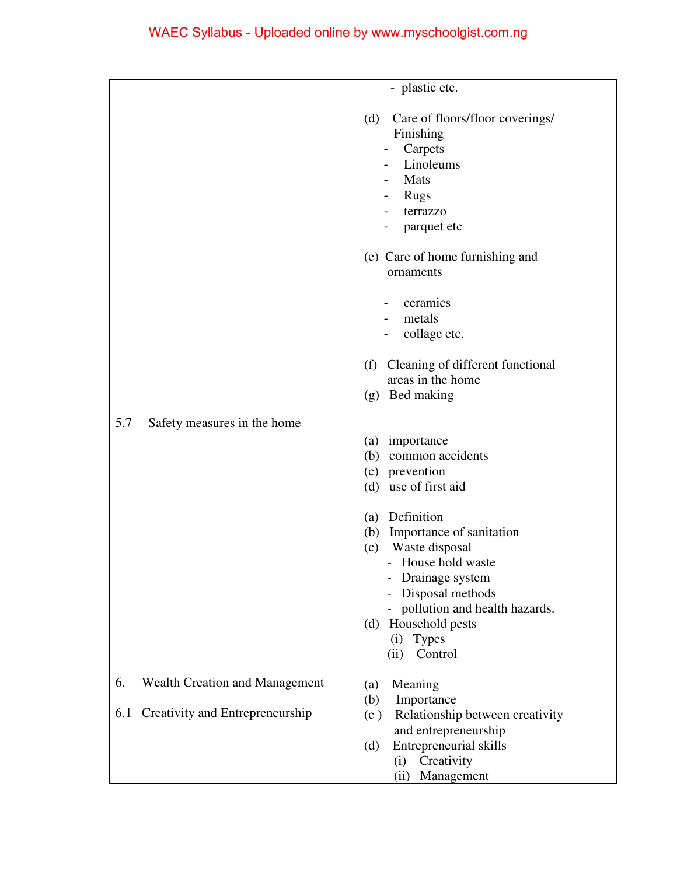|     |                                       | - plastic etc.                                                                                                                                            |
|-----|---------------------------------------|-----------------------------------------------------------------------------------------------------------------------------------------------------------|
|     |                                       | Care of floors/floor coverings/<br>(d)<br>Finishing<br>Carpets<br>Linoleums<br>Mats<br>Rugs<br>terrazzo<br>parquet etc<br>(e) Care of home furnishing and |
|     |                                       | ornaments                                                                                                                                                 |
|     |                                       | ceramics<br>metals<br>collage etc.                                                                                                                        |
|     |                                       | Cleaning of different functional<br>(f)<br>areas in the home<br>Bed making<br>(g)                                                                         |
| 5.7 | Safety measures in the home           |                                                                                                                                                           |
|     |                                       | importance<br>(a)<br>(b)<br>common accidents<br>(c) prevention<br>(d) use of first aid                                                                    |
|     |                                       | (a) Definition<br>(b) Importance of sanitation<br>Waste disposal<br>(c)<br>- House hold waste<br>Drainage system<br>Disposal methods                      |
|     |                                       | pollution and health hazards.<br>Household pests<br>(d)<br><b>Types</b><br>(i)<br>Control<br>(ii)                                                         |
| 6.  | <b>Wealth Creation and Management</b> | Meaning<br>(a)                                                                                                                                            |
| 6.1 | Creativity and Entrepreneurship       | Importance<br>(b)<br>Relationship between creativity<br>(c)<br>and entrepreneurship                                                                       |
|     |                                       | Entrepreneurial skills<br>(d)<br>Creativity<br>(i)<br>Management<br>(ii)                                                                                  |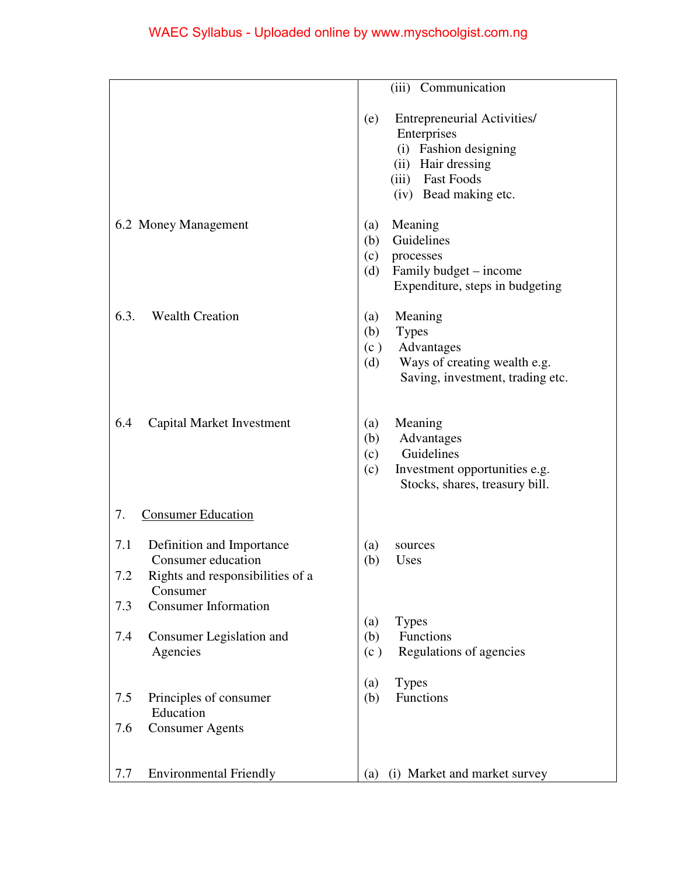|                                                                                                                                                     | (iii) Communication                                                                                                                                            |
|-----------------------------------------------------------------------------------------------------------------------------------------------------|----------------------------------------------------------------------------------------------------------------------------------------------------------------|
|                                                                                                                                                     | <b>Entrepreneurial Activities/</b><br>(e)<br>Enterprises<br>(i) Fashion designing<br>(ii) Hair dressing<br><b>Fast Foods</b><br>(iii)<br>(iv) Bead making etc. |
| 6.2 Money Management                                                                                                                                | Meaning<br>(a)<br>Guidelines<br>(b)<br>(c)<br>processes<br>Family budget - income<br>(d)<br>Expenditure, steps in budgeting                                    |
| 6.3.<br><b>Wealth Creation</b>                                                                                                                      | Meaning<br>(a)<br><b>Types</b><br>(b)<br>Advantages<br>(c)<br>Ways of creating wealth e.g.<br>(d)<br>Saving, investment, trading etc.                          |
| <b>Capital Market Investment</b><br>6.4                                                                                                             | Meaning<br>(a)<br>Advantages<br>(b)<br>Guidelines<br>(c)<br>Investment opportunities e.g.<br>(c)<br>Stocks, shares, treasury bill.                             |
| 7.<br><b>Consumer Education</b>                                                                                                                     |                                                                                                                                                                |
| 7.1<br>Definition and Importance<br>Consumer education<br>Rights and responsibilities of a<br>7.2<br>Consumer<br><b>Consumer Information</b><br>7.3 | (a)<br>sources<br>(b)<br>Uses                                                                                                                                  |
| 7.4<br>Consumer Legislation and<br>Agencies                                                                                                         | <b>Types</b><br>(a)<br>Functions<br>(b)<br>Regulations of agencies<br>(c)                                                                                      |
| 7.5<br>Principles of consumer<br>Education<br><b>Consumer Agents</b><br>7.6                                                                         | <b>Types</b><br>(a)<br>Functions<br>(b)                                                                                                                        |
| 7.7<br><b>Environmental Friendly</b>                                                                                                                | (i) Market and market survey<br>(a)                                                                                                                            |